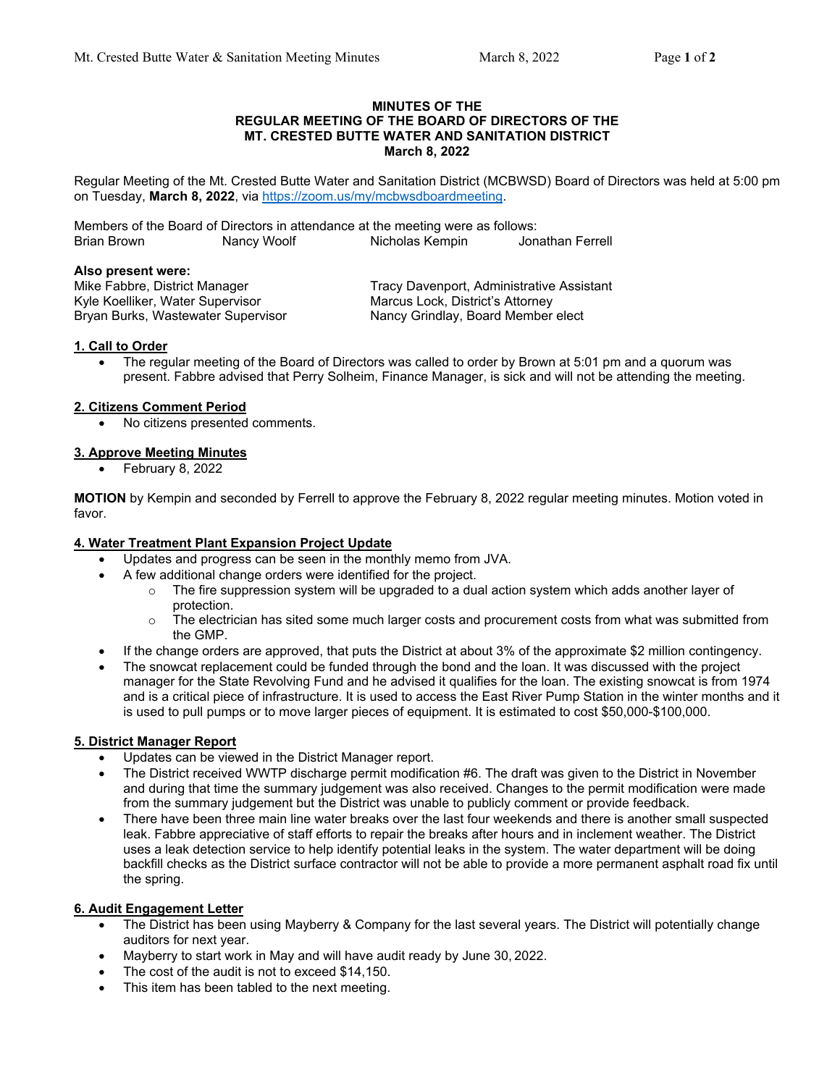### **MINUTES OF THE REGULAR MEETING OF THE BOARD OF DIRECTORS OF THE MT. CRESTED BUTTE WATER AND SANITATION DISTRICT March 8, 2022**

Regular Meeting of the Mt. Crested Butte Water and Sanitation District (MCBWSD) Board of Directors was held at 5:00 pm on Tuesday, **March 8, 2022**, via https://zoom.us/my/mcbwsdboardmeeting.

Members of the Board of Directors in attendance at the meeting were as follows: Brian Brown Nancy Woolf Nicholas Kempin Jonathan Ferrell

### **Also present were:**

Kyle Koelliker, Water Supervisor Bryan Burks, Wastewater Supervisor Nancy Grindlay, Board Member elect

Mike Fabbre, District Manager Tracy Davenport, Administrative Assistant<br>Kyle Koelliker, Water Supervisor Trace Marcus Lock, District's Attorney

## **1. Call to Order**

• The regular meeting of the Board of Directors was called to order by Brown at 5:01 pm and a quorum was present. Fabbre advised that Perry Solheim, Finance Manager, is sick and will not be attending the meeting.

## **2. Citizens Comment Period**

No citizens presented comments.

## **3. Approve Meeting Minutes**

• February 8, 2022

**MOTION** by Kempin and seconded by Ferrell to approve the February 8, 2022 regular meeting minutes. Motion voted in favor.

## **4. Water Treatment Plant Expansion Project Update**

- Updates and progress can be seen in the monthly memo from JVA.
- A few additional change orders were identified for the project.
	- $\circ$  The fire suppression system will be upgraded to a dual action system which adds another layer of protection.
	- $\circ$  The electrician has sited some much larger costs and procurement costs from what was submitted from the GMP.
- If the change orders are approved, that puts the District at about 3% of the approximate \$2 million contingency.
- The snowcat replacement could be funded through the bond and the loan. It was discussed with the project manager for the State Revolving Fund and he advised it qualifies for the loan. The existing snowcat is from 1974 and is a critical piece of infrastructure. It is used to access the East River Pump Station in the winter months and it is used to pull pumps or to move larger pieces of equipment. It is estimated to cost \$50,000-\$100,000.

## **5. District Manager Report**

- Updates can be viewed in the District Manager report.
- The District received WWTP discharge permit modification #6. The draft was given to the District in November and during that time the summary judgement was also received. Changes to the permit modification were made from the summary judgement but the District was unable to publicly comment or provide feedback.
- There have been three main line water breaks over the last four weekends and there is another small suspected leak. Fabbre appreciative of staff efforts to repair the breaks after hours and in inclement weather. The District uses a leak detection service to help identify potential leaks in the system. The water department will be doing backfill checks as the District surface contractor will not be able to provide a more permanent asphalt road fix until the spring.

# **6. Audit Engagement Letter**

- The District has been using Mayberry & Company for the last several years. The District will potentially change auditors for next year.
- Mayberry to start work in May and will have audit ready by June 30, 2022.
- The cost of the audit is not to exceed \$14,150.
- This item has been tabled to the next meeting.